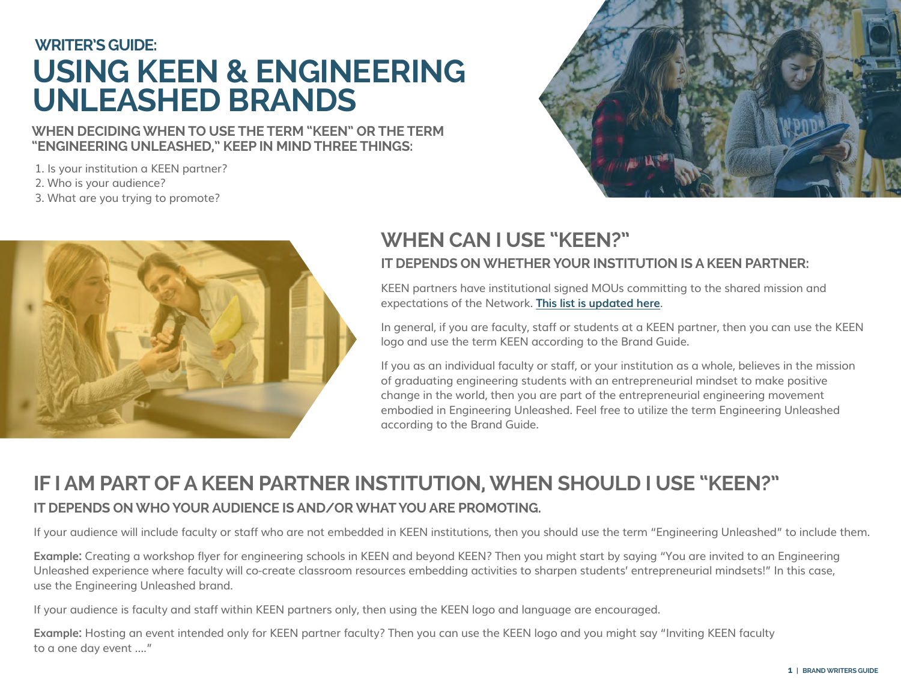# **USING KEEN & ENGINEERING UNLEASHED BRANDS WRITER'S GUIDE:**

#### **WHEN DECIDING WHEN TO USE THE TERM "KEEN" OR THE TERM "ENGINEERING UNLEASHED," KEEP IN MIND THREE THINGS:**

1. Is your institution a KEEN partner?

2. Who is your audience?

3. What are you trying to promote?





### **IT DEPENDS ON WHETHER YOUR INSTITUTION IS A KEEN PARTNER: WHEN CAN I USE "KEEN?"**

KEEN partners have institutional signed MOUs committing to the shared mission and expectations of the Network. **[This list is updated here](https://engineeringunleashed.com/partners)**.

In general, if you are faculty, staff or students at a KEEN partner, then you can use the KEEN logo and use the term KEEN according to the Brand Guide.

If you as an individual faculty or staff, or your institution as a whole, believes in the mission of graduating engineering students with an entrepreneurial mindset to make positive change in the world, then you are part of the entrepreneurial engineering movement embodied in Engineering Unleashed. Feel free to utilize the term Engineering Unleashed according to the Brand Guide.

## **IF I AM PART OF A KEEN PARTNER INSTITUTION, WHEN SHOULD I USE "KEEN?" IT DEPENDS ON WHO YOUR AUDIENCE IS AND/OR WHAT YOU ARE PROMOTING.**

If your audience will include faculty or staff who are not embedded in KEEN institutions, then you should use the term "Engineering Unleashed" to include them.

**Example:** Creating a workshop flyer for engineering schools in KEEN and beyond KEEN? Then you might start by saying "You are invited to an Engineering Unleashed experience where faculty will co-create classroom resources embedding activities to sharpen students' entrepreneurial mindsets!" In this case, use the Engineering Unleashed brand.

If your audience is faculty and staff within KEEN partners only, then using the KEEN logo and language are encouraged.

**Example:** Hosting an event intended only for KEEN partner faculty? Then you can use the KEEN logo and you might say "Inviting KEEN faculty to a one day event …."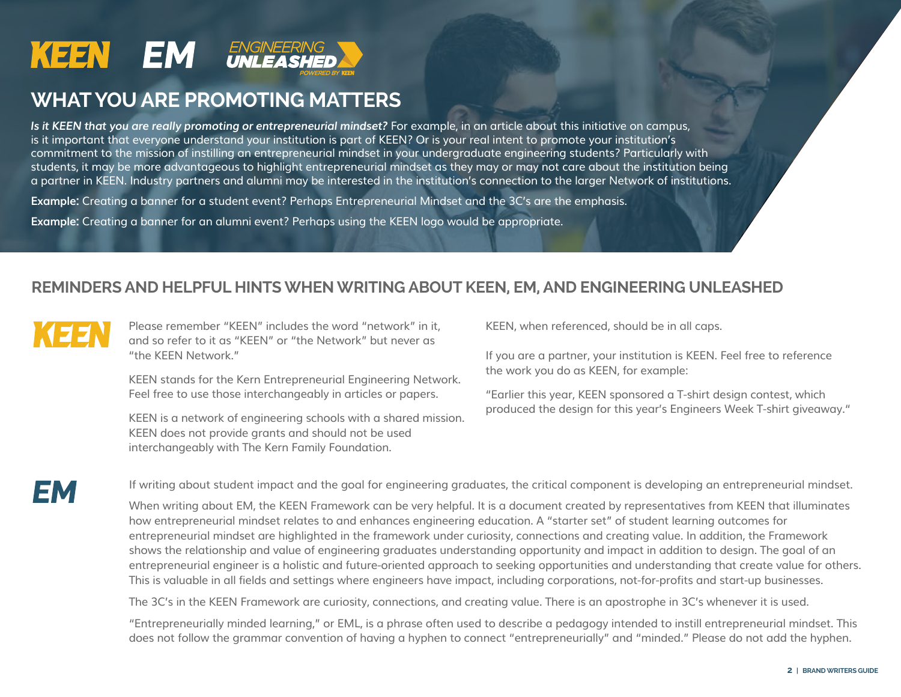

### **WHAT YOU ARE PROMOTING MATTERS**

*Is it KEEN that you are really promoting or entrepreneurial mindset?* For example, in an article about this initiative on campus, is it important that everyone understand your institution is part of KEEN? Or is your real intent to promote your institution's commitment to the mission of instilling an entrepreneurial mindset in your undergraduate engineering students? Particularly with students, it may be more advantageous to highlight entrepreneurial mindset as they may or may not care about the institution being a partner in KEEN. Industry partners and alumni may be interested in the institution's connection to the larger Network of institutions.

**Example:** Creating a banner for a student event? Perhaps Entrepreneurial Mindset and the 3C's are the emphasis.

**Example:** Creating a banner for an alumni event? Perhaps using the KEEN logo would be appropriate.

### **REMINDERS AND HELPFUL HINTS WHEN WRITING ABOUT KEEN, EM, AND ENGINEERING UNLEASHED**



Please remember "KEEN" includes the word "network" in it, and so refer to it as "KEEN" or "the Network" but never as "the KEEN Network."

KEEN stands for the Kern Entrepreneurial Engineering Network. Feel free to use those interchangeably in articles or papers.

KEEN is a network of engineering schools with a shared mission. KEEN does not provide grants and should not be used interchangeably with The Kern Family Foundation.

KEEN, when referenced, should be in all caps.

If you are a partner, your institution is KEEN. Feel free to reference the work you do as KEEN, for example:

"Earlier this year, KEEN sponsored a T-shirt design contest, which produced the design for this year's Engineers Week T-shirt giveaway."



If writing about student impact and the goal for engineering graduates, the critical component is developing an entrepreneurial mindset.

When writing about EM, the KEEN Framework can be very helpful. It is a document created by representatives from KEEN that illuminates how entrepreneurial mindset relates to and enhances engineering education. A "starter set" of student learning outcomes for entrepreneurial mindset are highlighted in the framework under curiosity, connections and creating value. In addition, the Framework shows the relationship and value of engineering graduates understanding opportunity and impact in addition to design. The goal of an entrepreneurial engineer is a holistic and future-oriented approach to seeking opportunities and understanding that create value for others. This is valuable in all fields and settings where engineers have impact, including corporations, not-for-profits and start-up businesses.

The 3C's in the KEEN Framework are curiosity, connections, and creating value. There is an apostrophe in 3C's whenever it is used.

"Entrepreneurially minded learning," or EML, is a phrase often used to describe a pedagogy intended to instill entrepreneurial mindset. This does not follow the grammar convention of having a hyphen to connect "entrepreneurially" and "minded." Please do not add the hyphen.